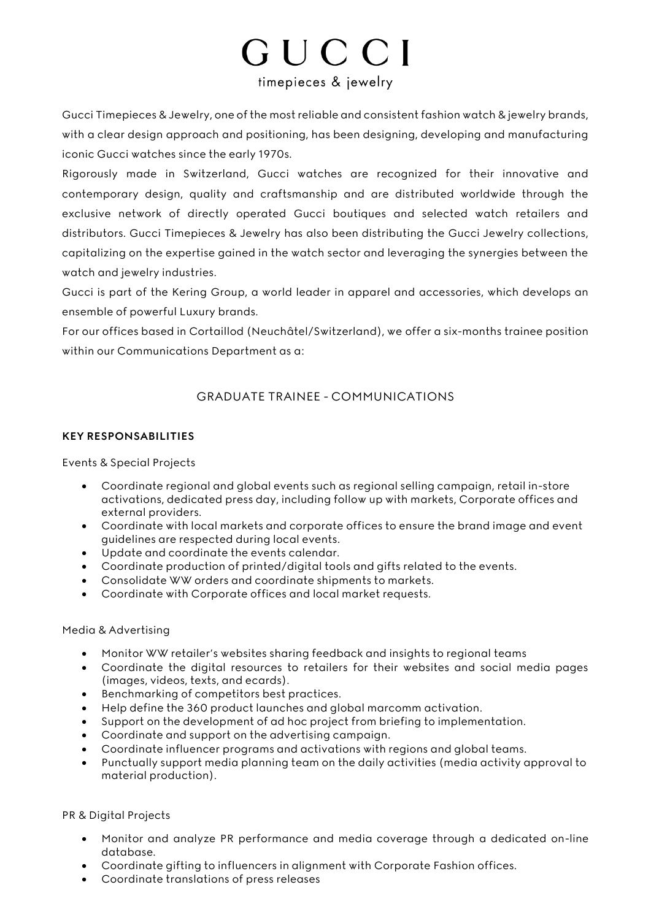# GUCCI timepieces & jewelry

Gucci Timepieces & Jewelry, one of the most reliable and consistent fashion watch & jewelry brands, with a clear design approach and positioning, has been designing, developing and manufacturing iconic Gucci watches since the early 1970s.

Rigorously made in Switzerland, Gucci watches are recognized for their innovative and contemporary design, quality and craftsmanship and are distributed worldwide through the exclusive network of directly operated Gucci boutiques and selected watch retailers and distributors. Gucci Timepieces & Jewelry has also been distributing the Gucci Jewelry collections, capitalizing on the expertise gained in the watch sector and leveraging the synergies between the watch and jewelry industries.

Gucci is part of the Kering Group, a world leader in apparel and accessories, which develops an ensemble of powerful Luxury brands.

For our offices based in Cortaillod (Neuchâtel/Switzerland), we offer a six-months trainee position within our Communications Department as a:

## GRADUATE TRAINEE - COMMUNICATIONS

#### **KEY RESPONSABILITIES**

#### Events & Special Projects

- Coordinate regional and global events such as regional selling campaign, retail in-store activations, dedicated press day, including follow up with markets, Corporate offices and external providers.
- Coordinate with local markets and corporate offices to ensure the brand image and event guidelines are respected during local events.
- Update and coordinate the events calendar.
- Coordinate production of printed/digital tools and gifts related to the events.
- Consolidate WW orders and coordinate shipments to markets.
- Coordinate with Corporate offices and local market requests.

#### Media & Advertising

- Monitor WW retailer's websites sharing feedback and insights to regional teams
- Coordinate the digital resources to retailers for their websites and social media pages (images, videos, texts, and ecards).
- Benchmarking of competitors best practices.
- Help define the 360 product launches and global marcomm activation.
- Support on the development of ad hoc project from briefing to implementation.
- Coordinate and support on the advertising campaign.
- Coordinate influencer programs and activations with regions and global teams.
- Punctually support media planning team on the daily activities (media activity approval to material production).

### PR & Digital Projects

- Monitor and analyze PR performance and media coverage through a dedicated on-line database.
- Coordinate gifting to influencers in alignment with Corporate Fashion offices.
- Coordinate translations of press releases